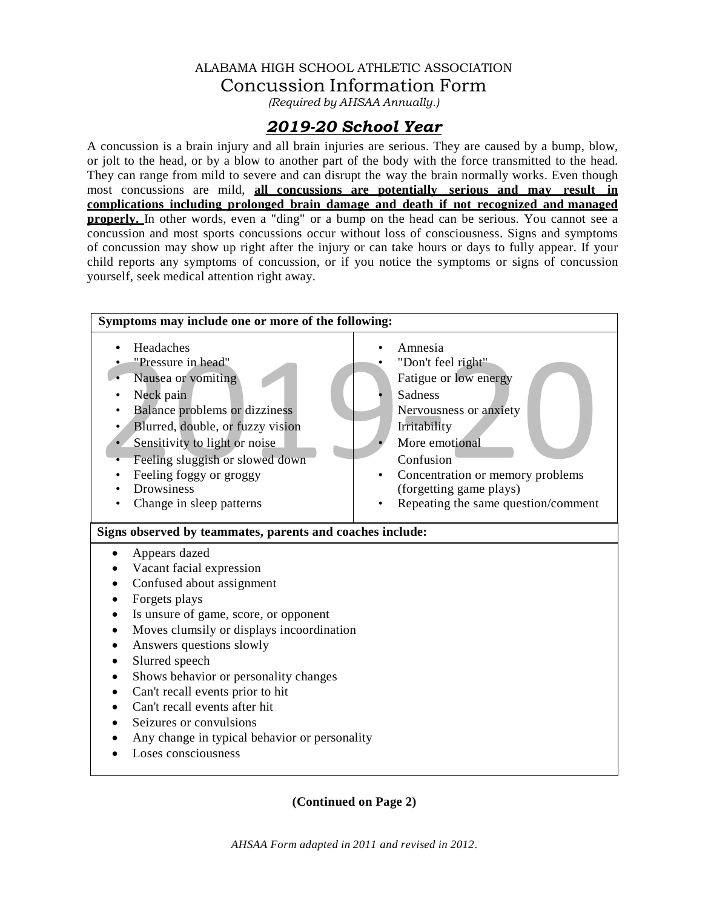## ALABAMA HIGH SCHOOL ATHLETIC ASSOCIATION Concussion Information Form

*(Required by AHSAA Annually.)*

# *2019-20 School Year*

A concussion is a brain injury and all brain injuries are serious. They are caused by a bump, blow, or jolt to the head, or by a blow to another part of the body with the force transmitted to the head. They can range from mild to severe and can disrupt the way the brain normally works. Even though most concussions are mild, **all concussions are potentially serious and may result in complications including prolonged brain damage and death if not recognized and managed properly.** In other words, even a "ding" or a bump on the head can be serious. You cannot see a concussion and most sports concussions occur without loss of consciousness. Signs and symptoms of concussion may show up right after the injury or can take hours or days to fully appear. If your child reports any symptoms of concussion, or if you notice the symptoms or signs of concussion yourself, seek medical attention right away.



**(Continued on Page 2)**